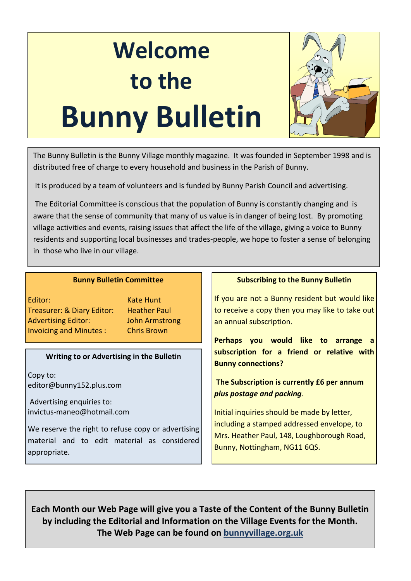# **Welcome to the Bunny Bulletin**



The Bunny Bulletin is the Bunny Village monthly magazine. It was founded in September 1998 and is distributed free of charge to every household and business in the Parish of Bunny.

It is produced by a team of volunteers and is funded by Bunny Parish Council and advertising.

The Editorial Committee is conscious that the population of Bunny is constantly changing and is aware that the sense of community that many of us value is in danger of being lost. By promoting village activities and events, raising issues that affect the life of the village, giving a voice to Bunny residents and supporting local businesses and trades-people, we hope to foster a sense of belonging in those who live in our village.

#### **Bunny Bulletin Committee**

Editor: Kate Hunt Treasurer: & Diary Editor: Heather Paul Advertising Editor: John Armstrong Invoicing and Minutes : Chris Brown

#### **Writing to or Advertising in the Bulletin**

Copy to: editor@bunny152.plus.com

Advertising enquiries to: invictus-maneo@hotmail.com

We reserve the right to refuse copy or advertising material and to edit material as considered appropriate.

#### **Subscribing to the Bunny Bulletin**

If you are not a Bunny resident but would like to receive a copy then you may like to take out an annual subscription.

**Perhaps you would like to arrange a subscription for a friend or relative with Bunny connections?**

### **The Subscription is currently £6 per annum** *plus postage and packing*.

Initial inquiries should be made by letter, including a stamped addressed envelope, to Mrs. Heather Paul, 148, Loughborough Road, Bunny, Nottingham, NG11 6QS.

**Each Month our Web Page will give you a Taste of the Content of the Bunny Bulletin by including the Editorial and Information on the Village Events for the Month. The Web Page can be found on bunnyvillage.org.uk**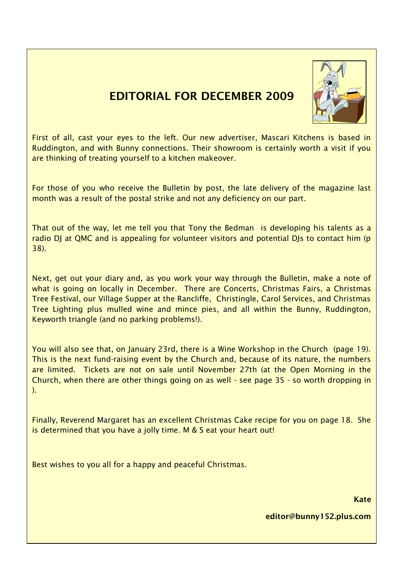### **EDITORIAL FOR DECEMBER 2009**



First of all, cast your eyes to the left. Our new advertiser, Mascari Kitchens is based in Ruddington, and with Bunny connections. Their showroom is certainly worth a visit if you are thinking of treating yourself to a kitchen makeover.

For those of you who receive the Bulletin by post, the late delivery of the magazine last month was a result of the postal strike and not any deficiency on our part.

That out of the way, let me tell you that Tony the Bedman is developing his talents as a radio DJ at QMC and is appealing for volunteer visitors and potential DJs to contact him (p 38).

Next, get out your diary and, as you work your way through the Bulletin, make a note of what is going on locally in December. There are Concerts, Christmas Fairs, a Christmas Tree Festival, our Village Supper at the Rancliffe, Christingle, Carol Services, and Christmas Tree Lighting plus mulled wine and mince pies, and all within the Bunny, Ruddington, Keyworth triangle (and no parking problems!).

You will also see that, on January 23rd, there is a Wine Workshop in the Church (page 19). This is the next fund-raising event by the Church and, because of its nature, the numbers are limited. Tickets are not on sale until November 27th (at the Open Morning in the Church, when there are other things going on as well - see page 35 - so worth dropping in ).

Finally, Reverend Margaret has an excellent Christmas Cake recipe for you on page 18. She is determined that you have a jolly time. M & S eat your heart out!

Best wishes to you all for a happy and peaceful Christmas.

**Kate**

**editor@bunny152.plus.com**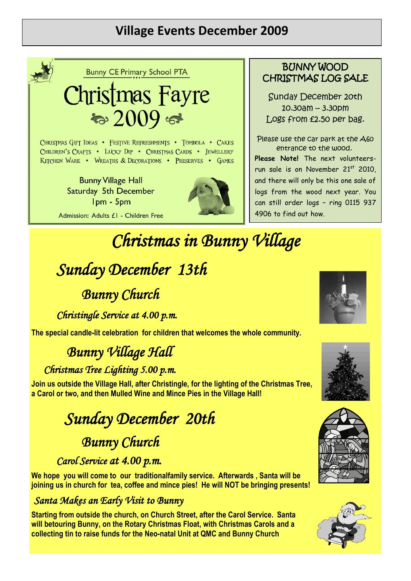### **Village Events December 2009**



**Bunny CE Primary School PTA** 

# Christmas Fayre ಾ 2009 ಕ್

CHRISTMAS GIFT IDEAS • FESTIVE REFRESHMENTS • TOMBOLA • CAKES CHILDREN'S CRAFTS . LUCKY DIP . CHRISTMAS CARDS . JEWELLERY KITCHEN WARE . WREATHS & DECORATIONS . PRESERVES . GAMES

**Bunny Village Hall** Saturday 5th December Ipm - 5pm Admission: Adults £1 - Children Free



### BUNNY WOOD CHRISTMAS LOG SALE

Sunday December 20th 10.30am – 3.30pm Logs from £2.50 per bag.

Please use the car park at the A60 entrance to the wood.

**Please Note!** The next volunteersrun sale is on November 21<sup>st</sup> 2010, and there will only be this one sale of logs from the wood next year. You can still order logs – ring 0115 937 4906 to find out how.

# *Christmas in Bunny Village*

# *Sunday December 13th*

### *Bunny Church*

*Christingle Service at 4.00 p.m.* 

**The special candle-lit celebration for children that welcomes the whole community.** 

## *Bunny Village Hall*

### *Christmas Tree Lighting 5.00 p.m.*

**Join us outside the Village Hall, after Christingle, for the lighting of the Christmas Tree, a Carol or two, and then Mulled Wine and Mince Pies in the Village Hall!**

# *Sunday December 20th Bunny Church*

### *Carol Service at 4.00 p.m.*

**We hope you will come to our traditionalfamily service. Afterwards , Santa will be joining us in church for tea, coffee and mince pies! He will NOT be bringing presents!**

### *Santa Makes an Early Visit to Bunny*

**Starting from outside the church, on Church Street, after the Carol Service. Santa will betouring Bunny, on the Rotary Christmas Float, with Christmas Carols and a collecting tin to raise funds for the Neo-natal Unit at QMC and Bunny Church**